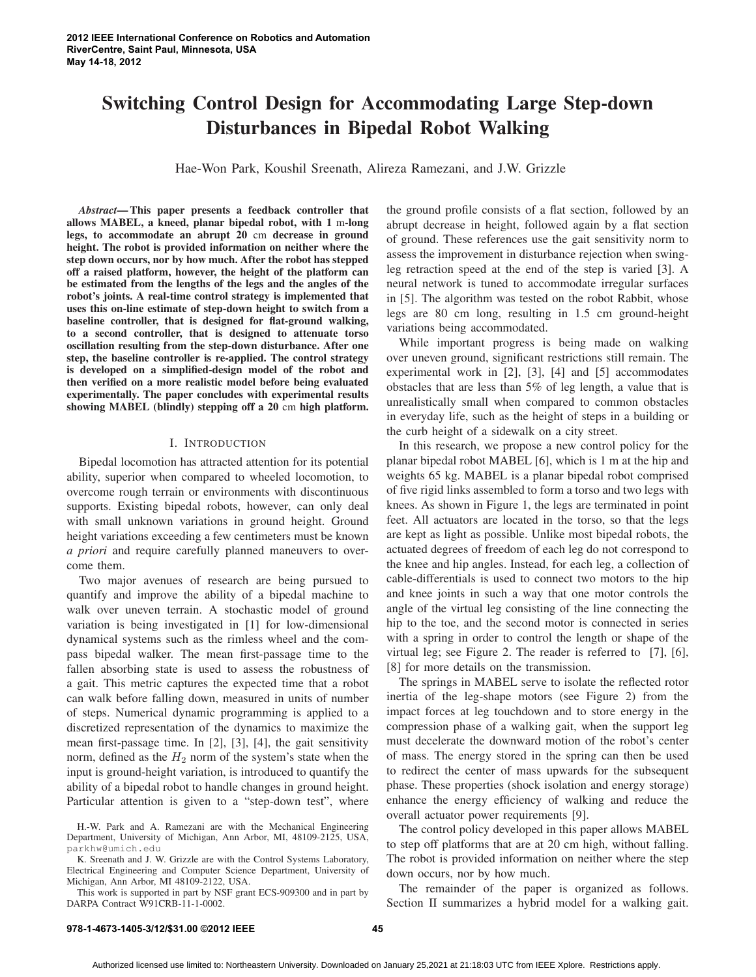# **Switching Control Design for Accommodating Large Step-down Disturbances in Bipedal Robot Walking**

Hae-Won Park, Koushil Sreenath, Alireza Ramezani, and J.W. Grizzle

*Abstract***— This paper presents a feedback controller that allows MABEL, a kneed, planar bipedal robot, with 1** m**-long legs, to accommodate an abrupt 20** cm **decrease in ground height. The robot is provided information on neither where the step down occurs, nor by how much. After the robot has stepped off a raised platform, however, the height of the platform can be estimated from the lengths of the legs and the angles of the robot's joints. A real-time control strategy is implemented that uses this on-line estimate of step-down height to switch from a baseline controller, that is designed for flat-ground walking, to a second controller, that is designed to attenuate torso oscillation resulting from the step-down disturbance. After one step, the baseline controller is re-applied. The control strategy is developed on a simplified-design model of the robot and then verified on a more realistic model before being evaluated experimentally. The paper concludes with experimental results showing MABEL (blindly) stepping off a 20** cm **high platform.**

# I. INTRODUCTION

Bipedal locomotion has attracted attention for its potential ability, superior when compared to wheeled locomotion, to overcome rough terrain or environments with discontinuous supports. Existing bipedal robots, however, can only deal with small unknown variations in ground height. Ground height variations exceeding a few centimeters must be known *a priori* and require carefully planned maneuvers to overcome them.

Two major avenues of research are being pursued to quantify and improve the ability of a bipedal machine to walk over uneven terrain. A stochastic model of ground variation is being investigated in [1] for low-dimensional dynamical systems such as the rimless wheel and the compass bipedal walker. The mean first-passage time to the fallen absorbing state is used to assess the robustness of a gait. This metric captures the expected time that a robot can walk before falling down, measured in units of number of steps. Numerical dynamic programming is applied to a discretized representation of the dynamics to maximize the mean first-passage time. In [2], [3], [4], the gait sensitivity norm, defined as the  $H_2$  norm of the system's state when the input is ground-height variation, is introduced to quantify the ability of a bipedal robot to handle changes in ground height. Particular attention is given to a "step-down test", where

K. Sreenath and J. W. Grizzle are with the Control Systems Laboratory, Electrical Engineering and Computer Science Department, University of Michigan, Ann Arbor, MI 48109-2122, USA.

This work is supported in part by NSF grant ECS-909300 and in part by DARPA Contract W91CRB-11-1-0002.

the ground profile consists of a flat section, followed by an abrupt decrease in height, followed again by a flat section of ground. These references use the gait sensitivity norm to assess the improvement in disturbance rejection when swingleg retraction speed at the end of the step is varied [3]. A neural network is tuned to accommodate irregular surfaces in [5]. The algorithm was tested on the robot Rabbit, whose legs are 80 cm long, resulting in 1.5 cm ground-height variations being accommodated.

While important progress is being made on walking over uneven ground, significant restrictions still remain. The experimental work in [2], [3], [4] and [5] accommodates obstacles that are less than 5% of leg length, a value that is unrealistically small when compared to common obstacles in everyday life, such as the height of steps in a building or the curb height of a sidewalk on a city street.

In this research, we propose a new control policy for the planar bipedal robot MABEL [6], which is 1 m at the hip and weights 65 kg. MABEL is a planar bipedal robot comprised of five rigid links assembled to form a torso and two legs with knees. As shown in Figure 1, the legs are terminated in point feet. All actuators are located in the torso, so that the legs are kept as light as possible. Unlike most bipedal robots, the actuated degrees of freedom of each leg do not correspond to the knee and hip angles. Instead, for each leg, a collection of cable-differentials is used to connect two motors to the hip and knee joints in such a way that one motor controls the angle of the virtual leg consisting of the line connecting the hip to the toe, and the second motor is connected in series with a spring in order to control the length or shape of the virtual leg; see Figure 2. The reader is referred to [7], [6], [8] for more details on the transmission.

The springs in MABEL serve to isolate the reflected rotor inertia of the leg-shape motors (see Figure 2) from the impact forces at leg touchdown and to store energy in the compression phase of a walking gait, when the support leg must decelerate the downward motion of the robot's center of mass. The energy stored in the spring can then be used to redirect the center of mass upwards for the subsequent phase. These properties (shock isolation and energy storage) enhance the energy efficiency of walking and reduce the overall actuator power requirements [9].

The control policy developed in this paper allows MABEL to step off platforms that are at 20 cm high, without falling. The robot is provided information on neither where the step down occurs, nor by how much.

The remainder of the paper is organized as follows. Section II summarizes a hybrid model for a walking gait.

H.-W. Park and A. Ramezani are with the Mechanical Engineering Department, University of Michigan, Ann Arbor, MI, 48109-2125, USA, parkhw@umich.edu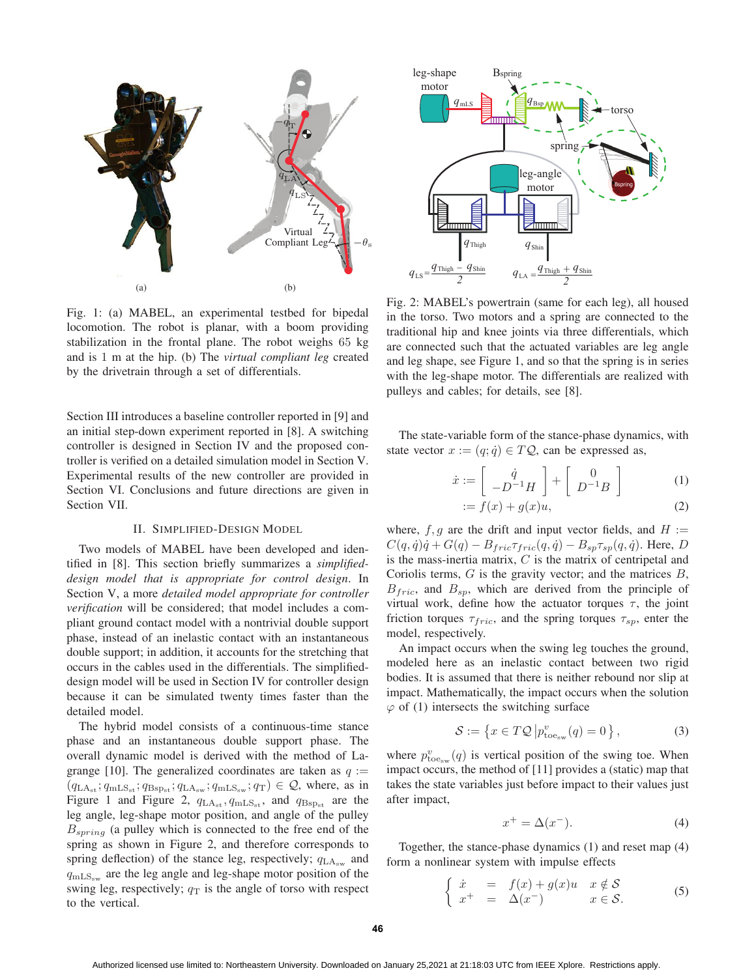

Fig. 1: (a) MABEL, an experimental testbed for bipedal locomotion. The robot is planar, with a boom providing stabilization in the frontal plane. The robot weighs 65 kg and is 1 m at the hip. (b) The *virtual compliant leg* created by the drivetrain through a set of differentials.

Section III introduces a baseline controller reported in [9] and an initial step-down experiment reported in [8]. A switching controller is designed in Section IV and the proposed controller is verified on a detailed simulation model in Section V. Experimental results of the new controller are provided in Section VI. Conclusions and future directions are given in Section VII.

#### II. SIMPLIFIED-DESIGN MODEL

Two models of MABEL have been developed and identified in [8]. This section briefly summarizes a *simplifieddesign model that is appropriate for control design*. In Section V, a more *detailed model appropriate for controller verification* will be considered; that model includes a compliant ground contact model with a nontrivial double support phase, instead of an inelastic contact with an instantaneous double support; in addition, it accounts for the stretching that occurs in the cables used in the differentials. The simplifieddesign model will be used in Section IV for controller design because it can be simulated twenty times faster than the detailed model.

The hybrid model consists of a continuous-time stance phase and an instantaneous double support phase. The overall dynamic model is derived with the method of Lagrange [10]. The generalized coordinates are taken as  $q :=$  $(q_{LA_{st}}; q_{mLS_{st}}; q_{Bsp_{st}}; q_{LA_{sw}}; q_{mLS_{sw}}; q_T) \in \mathcal{Q}$ , where, as in Figure 1 and Figure 2,  $q_{LA_{st}}$ ,  $q_{mLS_{st}}$ , and  $q_{Bsp_{st}}$  are the leg angle, leg-shape motor position, and angle of the pulley  $B_{spring}$  (a pulley which is connected to the free end of the spring as shown in Figure 2, and therefore corresponds to spring deflection) of the stance leg, respectively;  $q_{\text{LA}_{\text{sw}}}$  and  $q_{\rm mLS_{sw}}$  are the leg angle and leg-shape motor position of the swing leg, respectively;  $q_T$  is the angle of torso with respect to the vertical.



Fig. 2: MABEL's powertrain (same for each leg), all housed in the torso. Two motors and a spring are connected to the traditional hip and knee joints via three differentials, which are connected such that the actuated variables are leg angle and leg shape, see Figure 1, and so that the spring is in series with the leg-shape motor. The differentials are realized with pulleys and cables; for details, see [8].

The state-variable form of the stance-phase dynamics, with state vector  $x := (q; \dot{q}) \in TQ$ , can be expressed as,

$$
\dot{x} := \begin{bmatrix} \dot{q} \\ -D^{-1}H \end{bmatrix} + \begin{bmatrix} 0 \\ D^{-1}B \end{bmatrix}
$$
 (1)  

$$
\dot{f}(x) + g(x)u
$$
 (2)

$$
:= f(x) + g(x)u,
$$
 (2)

where,  $f, g$  are the drift and input vector fields, and  $H :=$  $C(q, \dot{q})\dot{q} + G(q) - B_{fric}\tau_{fric}(q, \dot{q}) - B_{sp}\tau_{sp}(q, \dot{q})$ . Here, D is the mass-inertia matrix,  $C$  is the matrix of centripetal and Coriolis terms,  $G$  is the gravity vector; and the matrices  $B$ ,  $B_{fric}$ , and  $B_{sp}$ , which are derived from the principle of virtual work, define how the actuator torques  $\tau$ , the joint friction torques  $\tau_{fric}$ , and the spring torques  $\tau_{sp}$ , enter the model, respectively.

An impact occurs when the swing leg touches the ground, modeled here as an inelastic contact between two rigid bodies. It is assumed that there is neither rebound nor slip at impact. Mathematically, the impact occurs when the solution  $\varphi$  of (1) intersects the switching surface

$$
S := \left\{ x \in T\mathcal{Q} \left| p_{\text{toe}_{\text{sw}}}^v(q) = 0 \right. \right\},\tag{3}
$$

where  $p_{\text{toe}_{\text{sw}}}^v(q)$  is vertical position of the swing toe. When impact occurs, the method of [11] provides a (static) map that takes the state variables just before impact to their values just after impact,

$$
x^+ = \Delta(x^-). \tag{4}
$$

Together, the stance-phase dynamics (1) and reset map (4) form a nonlinear system with impulse effects

$$
\begin{cases}\n\dot{x} = f(x) + g(x)u & x \notin \mathcal{S} \\
x^+ = \Delta(x^-) & x \in \mathcal{S}.\n\end{cases}
$$
\n(5)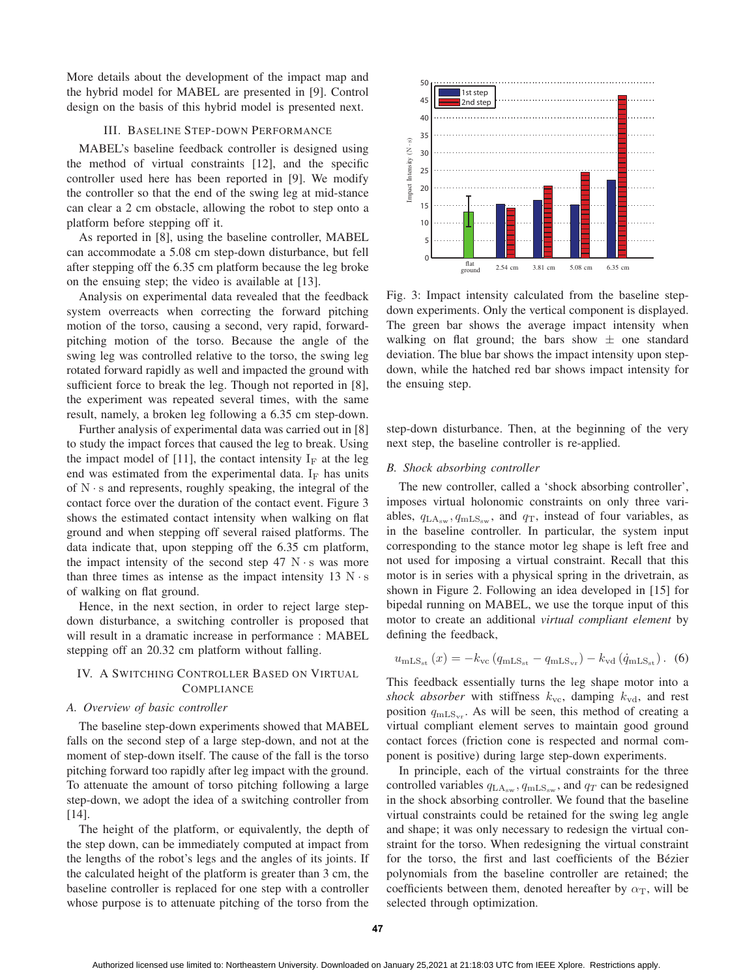More details about the development of the impact map and the hybrid model for MABEL are presented in [9]. Control design on the basis of this hybrid model is presented next.

# III. BASELINE STEP-DOWN PERFORMANCE

MABEL's baseline feedback controller is designed using the method of virtual constraints [12], and the specific controller used here has been reported in [9]. We modify the controller so that the end of the swing leg at mid-stance can clear a 2 cm obstacle, allowing the robot to step onto a platform before stepping off it.

As reported in [8], using the baseline controller, MABEL can accommodate a 5.08 cm step-down disturbance, but fell after stepping off the 6.35 cm platform because the leg broke on the ensuing step; the video is available at [13].

Analysis on experimental data revealed that the feedback system overreacts when correcting the forward pitching motion of the torso, causing a second, very rapid, forwardpitching motion of the torso. Because the angle of the swing leg was controlled relative to the torso, the swing leg rotated forward rapidly as well and impacted the ground with sufficient force to break the leg. Though not reported in [8], the experiment was repeated several times, with the same result, namely, a broken leg following a 6.35 cm step-down.

Further analysis of experimental data was carried out in [8] to study the impact forces that caused the leg to break. Using the impact model of [11], the contact intensity  $I_F$  at the leg end was estimated from the experimental data.  $I_F$  has units of  $N \cdot s$  and represents, roughly speaking, the integral of the contact force over the duration of the contact event. Figure 3 shows the estimated contact intensity when walking on flat ground and when stepping off several raised platforms. The data indicate that, upon stepping off the 6.35 cm platform, the impact intensity of the second step  $47 \text{ N} \cdot \text{s}$  was more than three times as intense as the impact intensity  $13 N \cdot s$ of walking on flat ground.

Hence, in the next section, in order to reject large stepdown disturbance, a switching controller is proposed that will result in a dramatic increase in performance : MABEL stepping off an 20.32 cm platform without falling.

# IV. A SWITCHING CONTROLLER BASED ON VIRTUAL **COMPLIANCE**

# *A. Overview of basic controller*

The baseline step-down experiments showed that MABEL falls on the second step of a large step-down, and not at the moment of step-down itself. The cause of the fall is the torso pitching forward too rapidly after leg impact with the ground. To attenuate the amount of torso pitching following a large step-down, we adopt the idea of a switching controller from [14].

The height of the platform, or equivalently, the depth of the step down, can be immediately computed at impact from the lengths of the robot's legs and the angles of its joints. If the calculated height of the platform is greater than 3 cm, the baseline controller is replaced for one step with a controller whose purpose is to attenuate pitching of the torso from the



Fig. 3: Impact intensity calculated from the baseline stepdown experiments. Only the vertical component is displayed. The green bar shows the average impact intensity when walking on flat ground; the bars show  $\pm$  one standard deviation. The blue bar shows the impact intensity upon stepdown, while the hatched red bar shows impact intensity for the ensuing step.

step-down disturbance. Then, at the beginning of the very next step, the baseline controller is re-applied.

#### *B. Shock absorbing controller*

The new controller, called a 'shock absorbing controller', imposes virtual holonomic constraints on only three variables,  $q_{\text{LA}_{sw}}$ ,  $q_{\text{mLS}_{sw}}$ , and  $q_{\text{T}}$ , instead of four variables, as in the baseline controller. In particular, the system input corresponding to the stance motor leg shape is left free and not used for imposing a virtual constraint. Recall that this motor is in series with a physical spring in the drivetrain, as shown in Figure 2. Following an idea developed in [15] for bipedal running on MABEL, we use the torque input of this motor to create an additional *virtual compliant element* by defining the feedback,

$$
u_{\rm mLS_{st}}(x) = -k_{\rm vc} \left( q_{\rm mLS_{st}} - q_{\rm mLS_{vr}} \right) - k_{\rm vd} \left( \dot{q}_{\rm mLS_{st}} \right). \tag{6}
$$

This feedback essentially turns the leg shape motor into a *shock absorber* with stiffness  $k_{\text{vc}}$ , damping  $k_{\text{vd}}$ , and rest position  $q_{\text{mLS}_{\text{vr}}}$ . As will be seen, this method of creating a virtual compliant element serves to maintain good ground contact forces (friction cone is respected and normal component is positive) during large step-down experiments.

In principle, each of the virtual constraints for the three controlled variables  $q_{\text{LA}_{sw}}$ ,  $q_{\text{mLS}_{sw}}$ , and  $q_T$  can be redesigned in the shock absorbing controller. We found that the baseline virtual constraints could be retained for the swing leg angle and shape; it was only necessary to redesign the virtual constraint for the torso. When redesigning the virtual constraint for the torso, the first and last coefficients of the Bézier polynomials from the baseline controller are retained; the coefficients between them, denoted hereafter by  $\alpha_T$ , will be selected through optimization.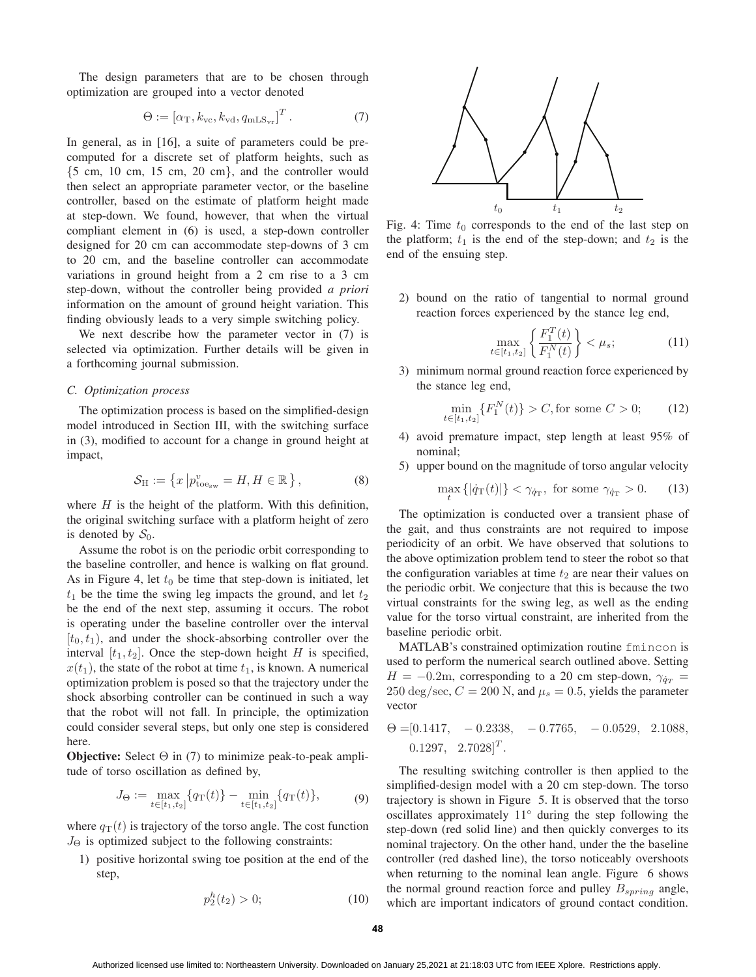The design parameters that are to be chosen through optimization are grouped into a vector denoted

$$
\Theta := \left[ \alpha_{\rm T}, k_{\rm vc}, k_{\rm vd}, q_{\rm mLS_{\rm vr}} \right]^T. \tag{7}
$$

In general, as in [16], a suite of parameters could be precomputed for a discrete set of platform heights, such as {5 cm, 10 cm, 15 cm, 20 cm}, and the controller would then select an appropriate parameter vector, or the baseline controller, based on the estimate of platform height made at step-down. We found, however, that when the virtual compliant element in (6) is used, a step-down controller designed for 20 cm can accommodate step-downs of 3 cm to 20 cm, and the baseline controller can accommodate variations in ground height from a 2 cm rise to a 3 cm step-down, without the controller being provided *a priori* information on the amount of ground height variation. This finding obviously leads to a very simple switching policy.

We next describe how the parameter vector in (7) is selected via optimization. Further details will be given in a forthcoming journal submission.

## *C. Optimization process*

The optimization process is based on the simplified-design model introduced in Section III, with the switching surface in (3), modified to account for a change in ground height at impact,

$$
\mathcal{S}_{\mathrm{H}} := \left\{ x \left| p_{\mathrm{toe}_{\mathrm{sw}}}^{v} = H, H \in \mathbb{R} \right. \right\},\tag{8}
$$

where  $H$  is the height of the platform. With this definition, the original switching surface with a platform height of zero is denoted by  $S_0$ .

Assume the robot is on the periodic orbit corresponding to the baseline controller, and hence is walking on flat ground. As in Figure 4, let  $t_0$  be time that step-down is initiated, let  $t_1$  be the time the swing leg impacts the ground, and let  $t_2$ be the end of the next step, assuming it occurs. The robot is operating under the baseline controller over the interval  $[t_0, t_1)$ , and under the shock-absorbing controller over the interval  $[t_1, t_2]$ . Once the step-down height H is specified,  $x(t_1)$ , the state of the robot at time  $t_1$ , is known. A numerical optimization problem is posed so that the trajectory under the shock absorbing controller can be continued in such a way that the robot will not fall. In principle, the optimization could consider several steps, but only one step is considered here.

**Objective:** Select Θ in (7) to minimize peak-to-peak amplitude of torso oscillation as defined by,

$$
J_{\Theta} := \max_{t \in [t_1, t_2]} \{ q_{\mathrm{T}}(t) \} - \min_{t \in [t_1, t_2]} \{ q_{\mathrm{T}}(t) \},\tag{9}
$$

where  $q_T(t)$  is trajectory of the torso angle. The cost function  $J_{\Theta}$  is optimized subject to the following constraints:

1) positive horizontal swing toe position at the end of the step,

$$
p_2^h(t_2) > 0; \t(10)
$$



Fig. 4: Time  $t_0$  corresponds to the end of the last step on the platform;  $t_1$  is the end of the step-down; and  $t_2$  is the end of the ensuing step.

2) bound on the ratio of tangential to normal ground reaction forces experienced by the stance leg end,

$$
\max_{t \in [t_1, t_2]} \left\{ \frac{F_1^T(t)}{F_1^N(t)} \right\} < \mu_s; \tag{11}
$$

3) minimum normal ground reaction force experienced by the stance leg end,

$$
\min_{t \in [t_1, t_2]} \{ F_1^N(t) \} > C, \text{for some } C > 0; \tag{12}
$$

- 4) avoid premature impact, step length at least 95% of nominal;
- 5) upper bound on the magnitude of torso angular velocity

$$
\max_{t} \{| \dot{q}_{\rm T}(t) | \} < \gamma_{\dot{q}_{\rm T}}, \text{ for some } \gamma_{\dot{q}_{\rm T}} > 0. \tag{13}
$$

The optimization is conducted over a transient phase of the gait, and thus constraints are not required to impose periodicity of an orbit. We have observed that solutions to the above optimization problem tend to steer the robot so that the configuration variables at time  $t_2$  are near their values on the periodic orbit. We conjecture that this is because the two virtual constraints for the swing leg, as well as the ending value for the torso virtual constraint, are inherited from the baseline periodic orbit.

MATLAB's constrained optimization routine fmincon is used to perform the numerical search outlined above. Setting  $H = -0.2$ m, corresponding to a 20 cm step-down,  $\gamma_{\dot{q}_T}$  = 250 deg/sec,  $C = 200$  N, and  $\mu_s = 0.5$ , yields the parameter vector

$$
\Theta = [0.1417, -0.2338, -0.7765, -0.0529, 2.1088, 0.1297, 2.7028]^T.
$$

The resulting switching controller is then applied to the simplified-design model with a 20 cm step-down. The torso trajectory is shown in Figure 5. It is observed that the torso oscillates approximately 11° during the step following the step-down (red solid line) and then quickly converges to its nominal trajectory. On the other hand, under the the baseline controller (red dashed line), the torso noticeably overshoots when returning to the nominal lean angle. Figure 6 shows the normal ground reaction force and pulley  $B_{spring}$  angle, which are important indicators of ground contact condition.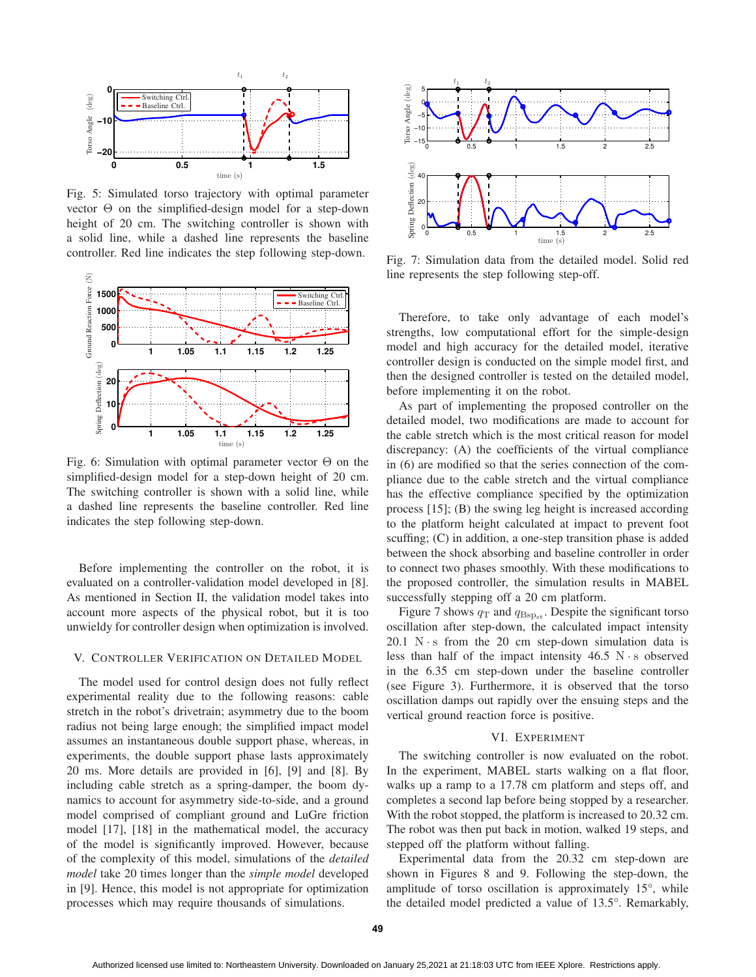

Fig. 5: Simulated torso trajectory with optimal parameter vector Θ on the simplified-design model for a step-down height of 20 cm. The switching controller is shown with a solid line, while a dashed line represents the baseline controller. Red line indicates the step following step-down.



Fig. 6: Simulation with optimal parameter vector  $\Theta$  on the simplified-design model for a step-down height of 20 cm. The switching controller is shown with a solid line, while a dashed line represents the baseline controller. Red line indicates the step following step-down.

Before implementing the controller on the robot, it is evaluated on a controller-validation model developed in [8]. As mentioned in Section II, the validation model takes into account more aspects of the physical robot, but it is too unwieldy for controller design when optimization is involved.

# V. CONTROLLER VERIFICATION ON DETAILED MODEL

The model used for control design does not fully reflect experimental reality due to the following reasons: cable stretch in the robot's drivetrain; asymmetry due to the boom radius not being large enough; the simplified impact model assumes an instantaneous double support phase, whereas, in experiments, the double support phase lasts approximately 20 ms. More details are provided in [6], [9] and [8]. By including cable stretch as a spring-damper, the boom dynamics to account for asymmetry side-to-side, and a ground model comprised of compliant ground and LuGre friction model [17], [18] in the mathematical model, the accuracy of the model is significantly improved. However, because of the complexity of this model, simulations of the *detailed model* take 20 times longer than the *simple model* developed in [9]. Hence, this model is not appropriate for optimization processes which may require thousands of simulations.



Fig. 7: Simulation data from the detailed model. Solid red line represents the step following step-off.

Therefore, to take only advantage of each model's strengths, low computational effort for the simple-design model and high accuracy for the detailed model, iterative controller design is conducted on the simple model first, and then the designed controller is tested on the detailed model, before implementing it on the robot.

As part of implementing the proposed controller on the detailed model, two modifications are made to account for the cable stretch which is the most critical reason for model discrepancy: (A) the coefficients of the virtual compliance in (6) are modified so that the series connection of the compliance due to the cable stretch and the virtual compliance has the effective compliance specified by the optimization process [15]; (B) the swing leg height is increased according to the platform height calculated at impact to prevent foot scuffing; (C) in addition, a one-step transition phase is added between the shock absorbing and baseline controller in order to connect two phases smoothly. With these modifications to the proposed controller, the simulation results in MABEL successfully stepping off a 20 cm platform.

Figure 7 shows  $q_T$  and  $q_{\text{Bsp}_{st}}$ . Despite the significant torso oscillation after step-down, the calculated impact intensity  $20.1$  N  $\cdot$  s from the 20 cm step-down simulation data is less than half of the impact intensity  $46.5$  N $\cdot$ s observed in the 6.35 cm step-down under the baseline controller (see Figure 3). Furthermore, it is observed that the torso oscillation damps out rapidly over the ensuing steps and the vertical ground reaction force is positive.

#### VI. EXPERIMENT

The switching controller is now evaluated on the robot. In the experiment, MABEL starts walking on a flat floor, walks up a ramp to a 17.78 cm platform and steps off, and completes a second lap before being stopped by a researcher. With the robot stopped, the platform is increased to 20.32 cm. The robot was then put back in motion, walked 19 steps, and stepped off the platform without falling.

Experimental data from the 20.32 cm step-down are shown in Figures 8 and 9. Following the step-down, the amplitude of torso oscillation is approximately 15°, while the detailed model predicted a value of 13.5°. Remarkably,